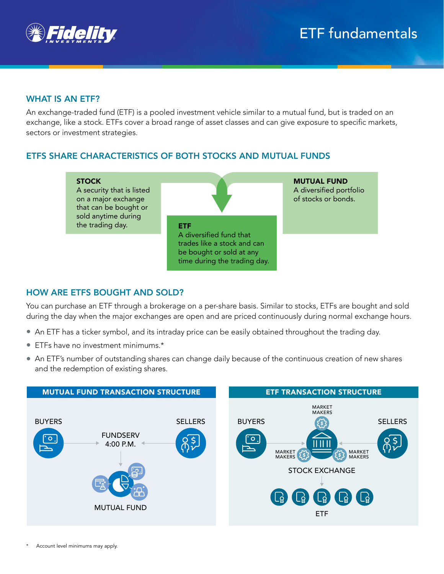

# WHAT IS AN ETF?

An exchange-traded fund (ETF) is a pooled investment vehicle similar to a mutual fund, but is traded on an exchange, like a stock. ETFs cover a broad range of asset classes and can give exposure to specific markets, sectors or investment strategies.

# ETFS SHARE CHARACTERISTICS OF BOTH STOCKS AND MUTUAL FUNDS



## HOW ARE ETFS BOUGHT AND SOLD?

You can purchase an ETF through a brokerage on a per-share basis. Similar to stocks, ETFs are bought and sold during the day when the major exchanges are open and are priced continuously during normal exchange hours.

- An ETF has a ticker symbol, and its intraday price can be easily obtained throughout the trading day.
- ETFs have no investment minimums.\*
- An ETF's number of outstanding shares can change daily because of the continuous creation of new shares and the redemption of existing shares.